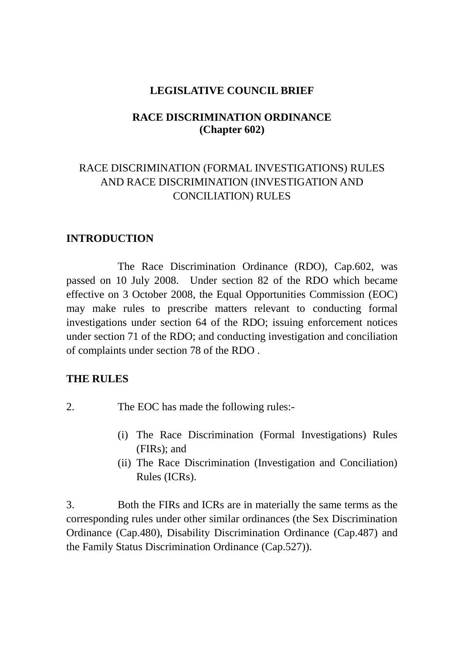## **LEGISLATIVE COUNCIL BRIEF**

## **RACE DISCRIMINATION ORDINANCE (Chapter 602)**

# RACE DISCRIMINATION (FORMAL INVESTIGATIONS) RULES AND RACE DISCRIMINATION (INVESTIGATION AND CONCILIATION) RULES

### **INTRODUCTION**

The Race Discrimination Ordinance (RDO), Cap.602, was passed on 10 July 2008. Under section 82 of the RDO which became effective on 3 October 2008, the Equal Opportunities Commission (EOC) may make rules to prescribe matters relevant to conducting formal investigations under section 64 of the RDO; issuing enforcement notices under section 71 of the RDO; and conducting investigation and conciliation of complaints under section 78 of the RDO .

### **THE RULES**

- 2. The EOC has made the following rules:-
	- (i) The Race Discrimination (Formal Investigations) Rules (FIRs); and
	- (ii) The Race Discrimination (Investigation and Conciliation) Rules (ICRs).

3. Both the FIRs and ICRs are in materially the same terms as the corresponding rules under other similar ordinances (the Sex Discrimination Ordinance (Cap.480), Disability Discrimination Ordinance (Cap.487) and the Family Status Discrimination Ordinance (Cap.527)).